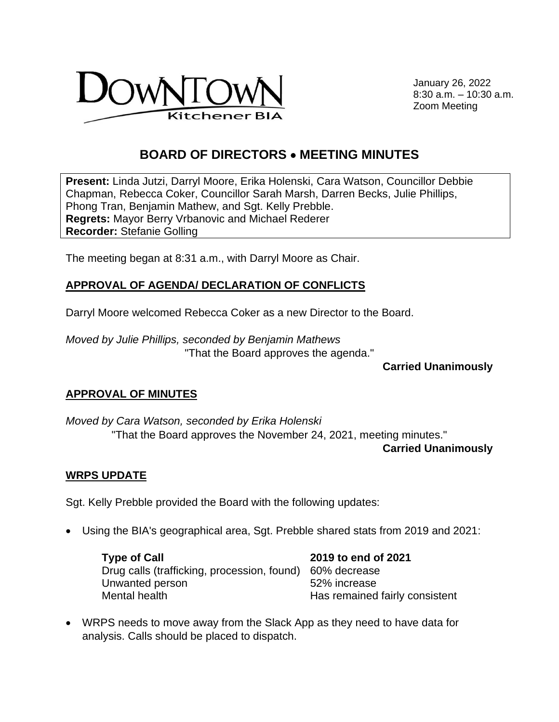

January 26, 2022 8:30 a.m. – 10:30 a.m. Zoom Meeting

# **BOARD OF DIRECTORS** • **MEETING MINUTES**

**Present:** Linda Jutzi, Darryl Moore, Erika Holenski, Cara Watson, Councillor Debbie Chapman, Rebecca Coker, Councillor Sarah Marsh, Darren Becks, Julie Phillips, Phong Tran, Benjamin Mathew, and Sgt. Kelly Prebble. **Regrets:** Mayor Berry Vrbanovic and Michael Rederer **Recorder:** Stefanie Golling

The meeting began at 8:31 a.m., with Darryl Moore as Chair.

### **APPROVAL OF AGENDA/ DECLARATION OF CONFLICTS**

Darryl Moore welcomed Rebecca Coker as a new Director to the Board.

*Moved by Julie Phillips, seconded by Benjamin Mathews*  "That the Board approves the agenda."

**Carried Unanimously** 

#### **APPROVAL OF MINUTES**

*Moved by Cara Watson, seconded by Erika Holenski*  "That the Board approves the November 24, 2021, meeting minutes." **Carried Unanimously**

#### **WRPS UPDATE**

Sgt. Kelly Prebble provided the Board with the following updates:

• Using the BIA's geographical area, Sgt. Prebble shared stats from 2019 and 2021:

**Type of Call 2019 to end of 2021** Drug calls (trafficking, procession, found) 60% decrease Unwanted person 62% increase Mental health **Has remained fairly consistent** 

• WRPS needs to move away from the Slack App as they need to have data for analysis. Calls should be placed to dispatch.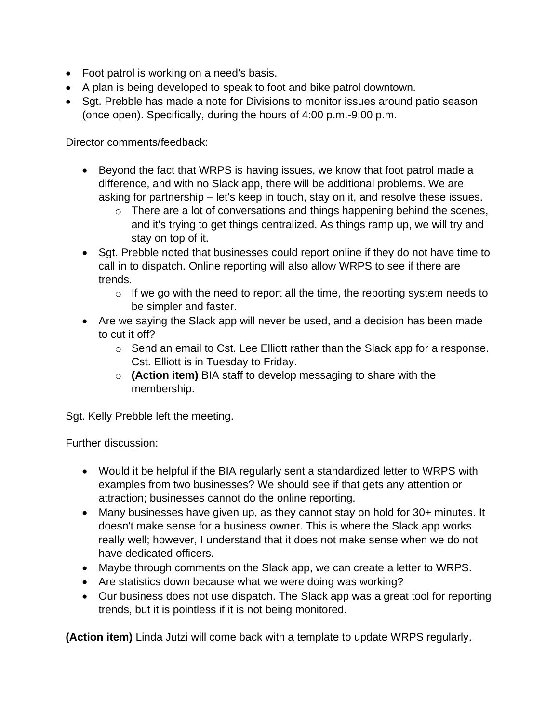- Foot patrol is working on a need's basis.
- A plan is being developed to speak to foot and bike patrol downtown.
- Sgt. Prebble has made a note for Divisions to monitor issues around patio season (once open). Specifically, during the hours of 4:00 p.m.-9:00 p.m.

Director comments/feedback:

- Beyond the fact that WRPS is having issues, we know that foot patrol made a difference, and with no Slack app, there will be additional problems. We are asking for partnership – let's keep in touch, stay on it, and resolve these issues.
	- o There are a lot of conversations and things happening behind the scenes, and it's trying to get things centralized. As things ramp up, we will try and stay on top of it.
- Sgt. Prebble noted that businesses could report online if they do not have time to call in to dispatch. Online reporting will also allow WRPS to see if there are trends.
	- $\circ$  If we go with the need to report all the time, the reporting system needs to be simpler and faster.
- Are we saying the Slack app will never be used, and a decision has been made to cut it off?
	- o Send an email to Cst. Lee Elliott rather than the Slack app for a response. Cst. Elliott is in Tuesday to Friday.
	- o **(Action item)** BIA staff to develop messaging to share with the membership.

Sgt. Kelly Prebble left the meeting.

Further discussion:

- Would it be helpful if the BIA regularly sent a standardized letter to WRPS with examples from two businesses? We should see if that gets any attention or attraction; businesses cannot do the online reporting.
- Many businesses have given up, as they cannot stay on hold for 30+ minutes. It doesn't make sense for a business owner. This is where the Slack app works really well; however, I understand that it does not make sense when we do not have dedicated officers.
- Maybe through comments on the Slack app, we can create a letter to WRPS.
- Are statistics down because what we were doing was working?
- Our business does not use dispatch. The Slack app was a great tool for reporting trends, but it is pointless if it is not being monitored.

**(Action item)** Linda Jutzi will come back with a template to update WRPS regularly.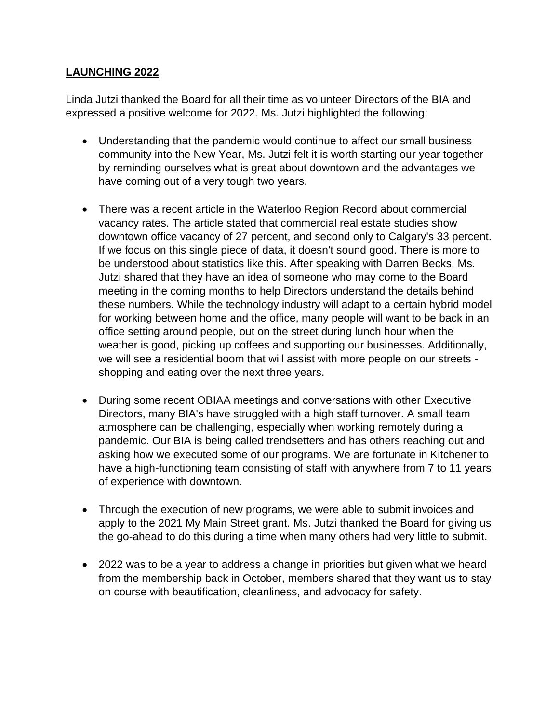#### **LAUNCHING 2022**

Linda Jutzi thanked the Board for all their time as volunteer Directors of the BIA and expressed a positive welcome for 2022. Ms. Jutzi highlighted the following:

- Understanding that the pandemic would continue to affect our small business community into the New Year, Ms. Jutzi felt it is worth starting our year together by reminding ourselves what is great about downtown and the advantages we have coming out of a very tough two years.
- There was a recent article in the Waterloo Region Record about commercial vacancy rates. The article stated that commercial real estate studies show downtown office vacancy of 27 percent, and second only to Calgary's 33 percent. If we focus on this single piece of data, it doesn't sound good. There is more to be understood about statistics like this. After speaking with Darren Becks, Ms. Jutzi shared that they have an idea of someone who may come to the Board meeting in the coming months to help Directors understand the details behind these numbers. While the technology industry will adapt to a certain hybrid model for working between home and the office, many people will want to be back in an office setting around people, out on the street during lunch hour when the weather is good, picking up coffees and supporting our businesses. Additionally, we will see a residential boom that will assist with more people on our streets shopping and eating over the next three years.
- During some recent OBIAA meetings and conversations with other Executive Directors, many BIA's have struggled with a high staff turnover. A small team atmosphere can be challenging, especially when working remotely during a pandemic. Our BIA is being called trendsetters and has others reaching out and asking how we executed some of our programs. We are fortunate in Kitchener to have a high-functioning team consisting of staff with anywhere from 7 to 11 years of experience with downtown.
- Through the execution of new programs, we were able to submit invoices and apply to the 2021 My Main Street grant. Ms. Jutzi thanked the Board for giving us the go-ahead to do this during a time when many others had very little to submit.
- 2022 was to be a year to address a change in priorities but given what we heard from the membership back in October, members shared that they want us to stay on course with beautification, cleanliness, and advocacy for safety.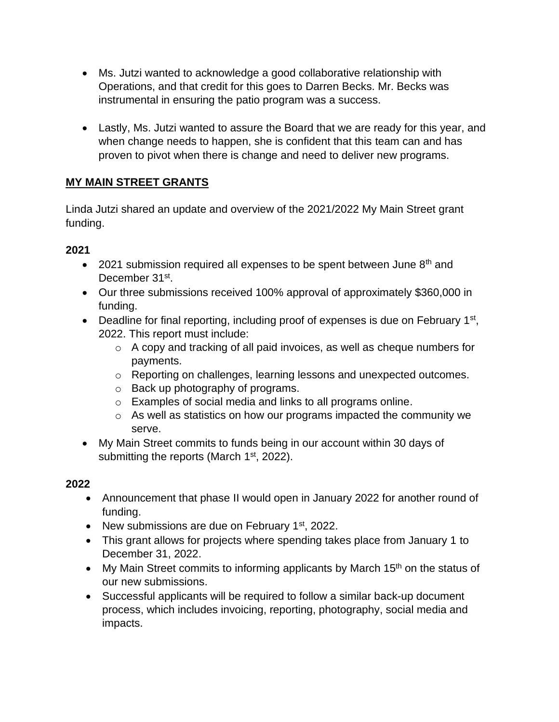- Ms. Jutzi wanted to acknowledge a good collaborative relationship with Operations, and that credit for this goes to Darren Becks. Mr. Becks was instrumental in ensuring the patio program was a success.
- Lastly, Ms. Jutzi wanted to assure the Board that we are ready for this year, and when change needs to happen, she is confident that this team can and has proven to pivot when there is change and need to deliver new programs.

### **MY MAIN STREET GRANTS**

Linda Jutzi shared an update and overview of the 2021/2022 My Main Street grant funding.

### **2021**

- 2021 submission required all expenses to be spent between June  $8<sup>th</sup>$  and December 31st.
- Our three submissions received 100% approval of approximately \$360,000 in funding.
- Deadline for final reporting, including proof of expenses is due on February 1<sup>st</sup>, 2022. This report must include:
	- o A copy and tracking of all paid invoices, as well as cheque numbers for payments.
	- o Reporting on challenges, learning lessons and unexpected outcomes.
	- o Back up photography of programs.
	- o Examples of social media and links to all programs online.
	- $\circ$  As well as statistics on how our programs impacted the community we serve.
- My Main Street commits to funds being in our account within 30 days of submitting the reports (March 1<sup>st</sup>, 2022).

#### **2022**

- Announcement that phase II would open in January 2022 for another round of funding.
- New submissions are due on February  $1<sup>st</sup>$ , 2022.
- This grant allows for projects where spending takes place from January 1 to December 31, 2022.
- My Main Street commits to informing applicants by March  $15<sup>th</sup>$  on the status of our new submissions.
- Successful applicants will be required to follow a similar back-up document process, which includes invoicing, reporting, photography, social media and impacts.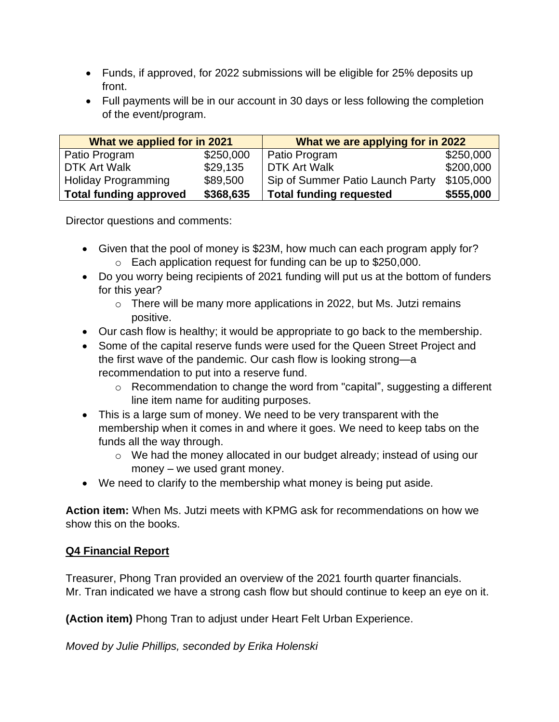- Funds, if approved, for 2022 submissions will be eligible for 25% deposits up front.
- Full payments will be in our account in 30 days or less following the completion of the event/program.

| What we applied for in 2021   |           | What we are applying for in 2022 |           |
|-------------------------------|-----------|----------------------------------|-----------|
| Patio Program                 | \$250,000 | Patio Program                    | \$250,000 |
| <b>DTK Art Walk</b>           | \$29,135  | <b>DTK Art Walk</b>              | \$200,000 |
| Holiday Programming           | \$89,500  | Sip of Summer Patio Launch Party | \$105,000 |
| <b>Total funding approved</b> | \$368,635 | <b>Total funding requested</b>   | \$555,000 |

Director questions and comments:

- Given that the pool of money is \$23M, how much can each program apply for? o Each application request for funding can be up to \$250,000.
- Do you worry being recipients of 2021 funding will put us at the bottom of funders for this year?
	- $\circ$  There will be many more applications in 2022, but Ms. Jutzi remains positive.
- Our cash flow is healthy; it would be appropriate to go back to the membership.
- Some of the capital reserve funds were used for the Queen Street Project and the first wave of the pandemic. Our cash flow is looking strong—a recommendation to put into a reserve fund.
	- o Recommendation to change the word from "capital", suggesting a different line item name for auditing purposes.
- This is a large sum of money. We need to be very transparent with the membership when it comes in and where it goes. We need to keep tabs on the funds all the way through.
	- o We had the money allocated in our budget already; instead of using our money – we used grant money.
- We need to clarify to the membership what money is being put aside.

**Action item:** When Ms. Jutzi meets with KPMG ask for recommendations on how we show this on the books.

### **Q4 Financial Report**

Treasurer, Phong Tran provided an overview of the 2021 fourth quarter financials. Mr. Tran indicated we have a strong cash flow but should continue to keep an eye on it.

**(Action item)** Phong Tran to adjust under Heart Felt Urban Experience.

*Moved by Julie Phillips, seconded by Erika Holenski*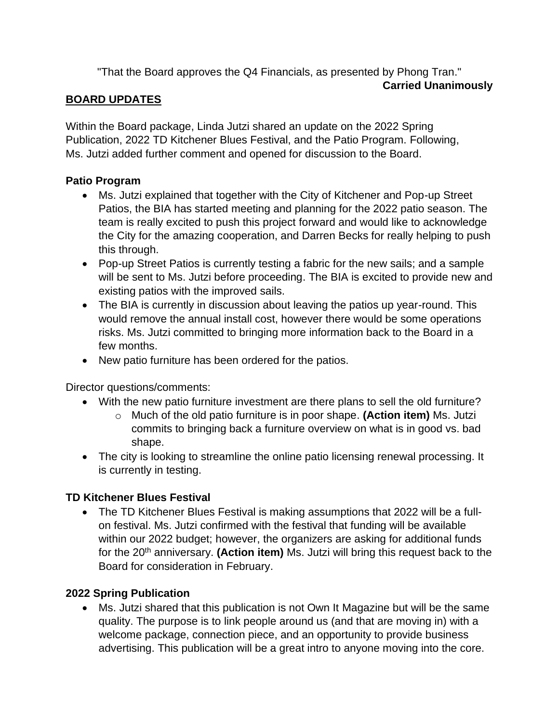"That the Board approves the Q4 Financials, as presented by Phong Tran."

#### **Carried Unanimously**

### **BOARD UPDATES**

Within the Board package, Linda Jutzi shared an update on the 2022 Spring Publication, 2022 TD Kitchener Blues Festival, and the Patio Program. Following, Ms. Jutzi added further comment and opened for discussion to the Board.

### **Patio Program**

- Ms. Jutzi explained that together with the City of Kitchener and Pop-up Street Patios, the BIA has started meeting and planning for the 2022 patio season. The team is really excited to push this project forward and would like to acknowledge the City for the amazing cooperation, and Darren Becks for really helping to push this through.
- Pop-up Street Patios is currently testing a fabric for the new sails; and a sample will be sent to Ms. Jutzi before proceeding. The BIA is excited to provide new and existing patios with the improved sails.
- The BIA is currently in discussion about leaving the patios up year-round. This would remove the annual install cost, however there would be some operations risks. Ms. Jutzi committed to bringing more information back to the Board in a few months.
- New patio furniture has been ordered for the patios.

Director questions/comments:

- With the new patio furniture investment are there plans to sell the old furniture?
	- o Much of the old patio furniture is in poor shape. **(Action item)** Ms. Jutzi commits to bringing back a furniture overview on what is in good vs. bad shape.
- The city is looking to streamline the online patio licensing renewal processing. It is currently in testing.

## **TD Kitchener Blues Festival**

• The TD Kitchener Blues Festival is making assumptions that 2022 will be a fullon festival. Ms. Jutzi confirmed with the festival that funding will be available within our 2022 budget; however, the organizers are asking for additional funds for the 20th anniversary. **(Action item)** Ms. Jutzi will bring this request back to the Board for consideration in February.

## **2022 Spring Publication**

• Ms. Jutzi shared that this publication is not Own It Magazine but will be the same quality. The purpose is to link people around us (and that are moving in) with a welcome package, connection piece, and an opportunity to provide business advertising. This publication will be a great intro to anyone moving into the core.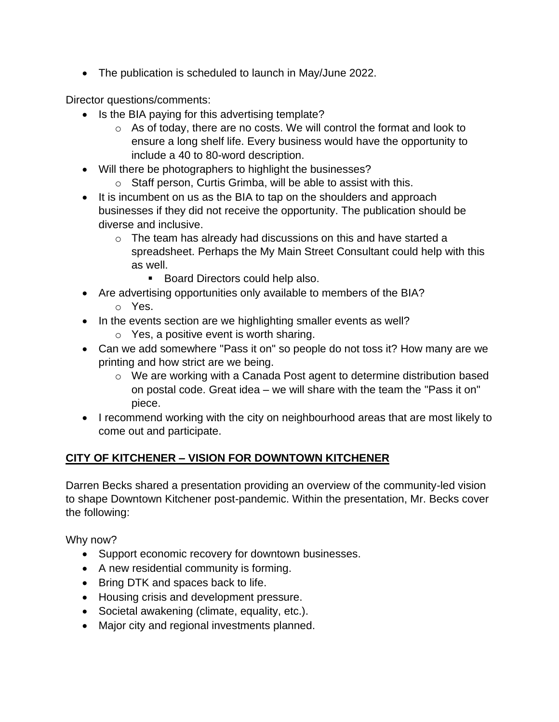• The publication is scheduled to launch in May/June 2022.

Director questions/comments:

- Is the BIA paying for this advertising template?
	- o As of today, there are no costs. We will control the format and look to ensure a long shelf life. Every business would have the opportunity to include a 40 to 80-word description.
- Will there be photographers to highlight the businesses?
	- o Staff person, Curtis Grimba, will be able to assist with this.
- It is incumbent on us as the BIA to tap on the shoulders and approach businesses if they did not receive the opportunity. The publication should be diverse and inclusive.
	- o The team has already had discussions on this and have started a spreadsheet. Perhaps the My Main Street Consultant could help with this as well.
		- Board Directors could help also.
- Are advertising opportunities only available to members of the BIA?
	- o Yes.
- In the events section are we highlighting smaller events as well?
	- o Yes, a positive event is worth sharing.
- Can we add somewhere "Pass it on" so people do not toss it? How many are we printing and how strict are we being.
	- o We are working with a Canada Post agent to determine distribution based on postal code. Great idea – we will share with the team the "Pass it on" piece.
- I recommend working with the city on neighbourhood areas that are most likely to come out and participate.

## **CITY OF KITCHENER – VISION FOR DOWNTOWN KITCHENER**

Darren Becks shared a presentation providing an overview of the community-led vision to shape Downtown Kitchener post-pandemic. Within the presentation, Mr. Becks cover the following:

Why now?

- Support economic recovery for downtown businesses.
- A new residential community is forming.
- Bring DTK and spaces back to life.
- Housing crisis and development pressure.
- Societal awakening (climate, equality, etc.).
- Major city and regional investments planned.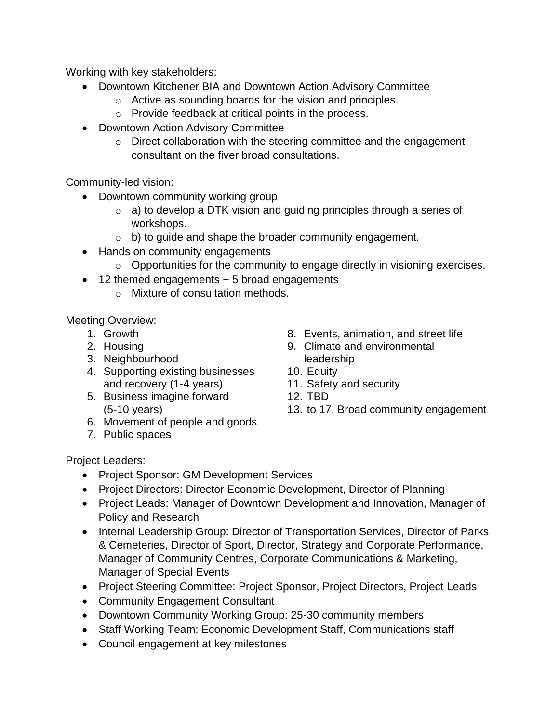Working with key stakeholders:

- Downtown Kitchener BIA and Downtown Action Advisory Committee
	- o Active as sounding boards for the vision and principles.
	- o Provide feedback at critical points in the process.
- Downtown Action Advisory Committee
	- o Direct collaboration with the steering committee and the engagement consultant on the fiver broad consultations.

Community-led vision:

- Downtown community working group
	- $\circ$  a) to develop a DTK vision and guiding principles through a series of workshops.
	- o b) to guide and shape the broader community engagement.
- Hands on community engagements
	- o Opportunities for the community to engage directly in visioning exercises.
- 12 themed engagements + 5 broad engagements
	- o Mixture of consultation methods.

Meeting Overview:

- 1. Growth
- 2. Housing
- 3. Neighbourhood
- 4. Supporting existing businesses and recovery (1-4 years)
- 5. Business imagine forward (5-10 years)
- 6. Movement of people and goods
- 7. Public spaces
- 8. Events, animation, and street life
- 9. Climate and environmental leadership
- 10. Equity
- 11. Safety and security
- 12. TBD
- 13. to 17. Broad community engagement

Project Leaders:

- Project Sponsor: GM Development Services
- Project Directors: Director Economic Development, Director of Planning
- Project Leads: Manager of Downtown Development and Innovation, Manager of Policy and Research
- Internal Leadership Group: Director of Transportation Services, Director of Parks & Cemeteries, Director of Sport, Director, Strategy and Corporate Performance, Manager of Community Centres, Corporate Communications & Marketing, Manager of Special Events
- Project Steering Committee: Project Sponsor, Project Directors, Project Leads
- Community Engagement Consultant
- Downtown Community Working Group: 25-30 community members
- Staff Working Team: Economic Development Staff, Communications staff
- Council engagement at key milestones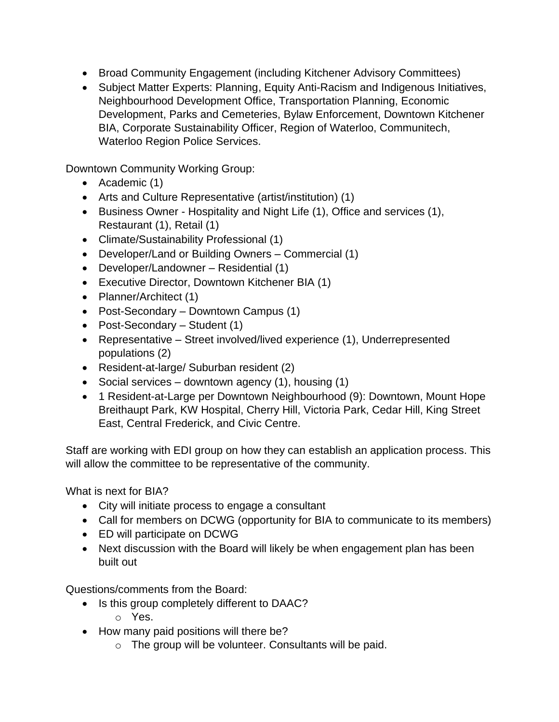- Broad Community Engagement (including Kitchener Advisory Committees)
- Subject Matter Experts: Planning, Equity Anti-Racism and Indigenous Initiatives, Neighbourhood Development Office, Transportation Planning, Economic Development, Parks and Cemeteries, Bylaw Enforcement, Downtown Kitchener BIA, Corporate Sustainability Officer, Region of Waterloo, Communitech, Waterloo Region Police Services.

Downtown Community Working Group:

- Academic (1)
- Arts and Culture Representative (artist/institution) (1)
- Business Owner Hospitality and Night Life (1), Office and services (1), Restaurant (1), Retail (1)
- Climate/Sustainability Professional (1)
- Developer/Land or Building Owners Commercial (1)
- Developer/Landowner Residential (1)
- Executive Director, Downtown Kitchener BIA (1)
- Planner/Architect (1)
- Post-Secondary Downtown Campus (1)
- Post-Secondary Student (1)
- Representative Street involved/lived experience (1), Underrepresented populations (2)
- Resident-at-large/ Suburban resident (2)
- Social services downtown agency (1), housing (1)
- 1 Resident-at-Large per Downtown Neighbourhood (9): Downtown, Mount Hope Breithaupt Park, KW Hospital, Cherry Hill, Victoria Park, Cedar Hill, King Street East, Central Frederick, and Civic Centre.

Staff are working with EDI group on how they can establish an application process. This will allow the committee to be representative of the community.

What is next for BIA?

- City will initiate process to engage a consultant
- Call for members on DCWG (opportunity for BIA to communicate to its members)
- ED will participate on DCWG
- Next discussion with the Board will likely be when engagement plan has been built out

Questions/comments from the Board:

- Is this group completely different to DAAC?
	- o Yes.
- How many paid positions will there be?
	- $\circ$  The group will be volunteer. Consultants will be paid.